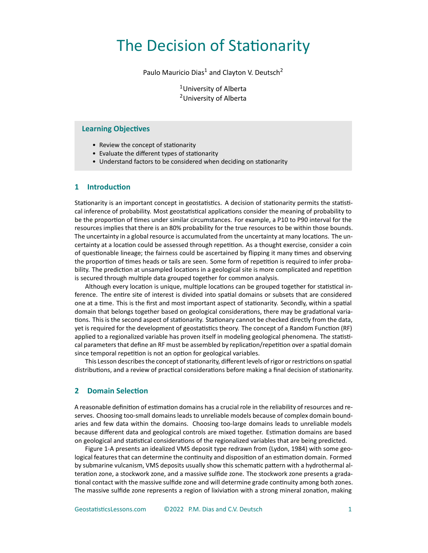# The Decision of Stationarity

Paulo Mauricio Dias<sup>1</sup> and Clayton V. Deutsch<sup>2</sup>

<sup>1</sup>University of Alberta <sup>2</sup>University of Alberta

### **Learning Objectives**

- Review the concept of stationarity
- Evaluate the different types of stationarity
- Understand factors to be considered when deciding on stationarity

### **1 Introduction**

Stationarity is an important concept in geostatistics. A decision of stationarity permits the statisti‐ cal inference of probability. Most geostatistical applications consider the meaning of probability to be the proportion of times under similar circumstances. For example, a P10 to P90 interval for the resources implies that there is an 80% probability for the true resources to be within those bounds. The uncertainty in a global resource is accumulated from the uncertainty at many locations. The un‐ certainty at a location could be assessed through repetition. As a thought exercise, consider a coin of questionable lineage; the fairness could be ascertained by flipping it many times and observing the proportion of times heads or tails are seen. Some form of repetition is required to infer probability. The prediction at unsampled locations in a geological site is more complicated and repetition is secured through multiple data grouped together for common analysis.

Although every location is unique, multiple locations can be grouped together for statistical in‐ ference. The entire site of interest is divided into spatial domains or subsets that are considered one at a time. This is the first and most important aspect of stationarity. Secondly, within a spatial domain that belongs together based on geological considerations, there may be gradational varia‐ tions. This is the second aspect of stationarity. Stationary cannot be checked directly from the data, yet is required for the development of geostatistics theory. The concept of a Random Function (RF) applied to a regionalized variable has proven itself in modeling geological phenomena. The statistical parameters that define an RF must be assembled by replication/repetition over a spatial domain since temporal repetition is not an option for geological variables.

This Lesson describes the concept of stationarity, different levels of rigor or restrictions on spatial distributions, and a review of practical considerations before making a final decision of stationarity.

## **2 Domain Selection**

A reasonable definition of estimation domains has a crucial role in the reliability of resources and re‐ serves. Choosing too-small domains leads to unreliable models because of complex domain boundaries and few data within the domains. Choosing too-large domains leads to unreliable models because different data and geological controls are mixed together. Estimation domains are based on geological and statistical considerations of the regionalized variables that are being predicted.

Figure 1-A presents an idealized VMS deposit type redrawn from (Lydon, 1984) with some geological features that can determine the continuity and disposition of an estimation domain. Formed by submarine vulcanism, VMS deposits usually show this schematic pattern with a hydrothermal al‐ teration zone, a stockwork zone, and a massive sulfide zone. The stockwork zone presents a grada‐ tional contact with the massive sulfide zone and will determine grade continuity among both zones. The massive sulfide zone represents a region of lixiviation with a strong mineral zonation, making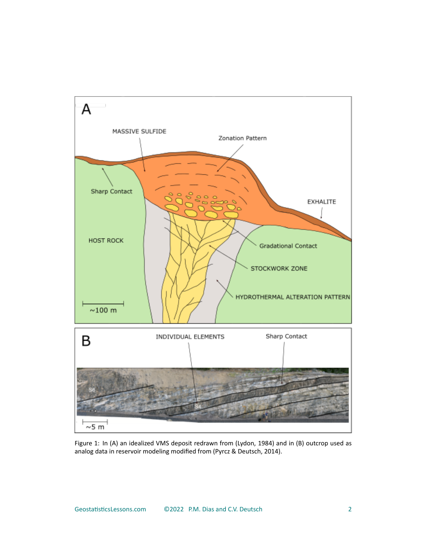

Figure 1: In (A) an idealized VMS deposit redrawn from (Lydon, 1984) and in (B) outcrop used as analog data in reservoir modeling modified from (Pyrcz & Deutsch, 2014).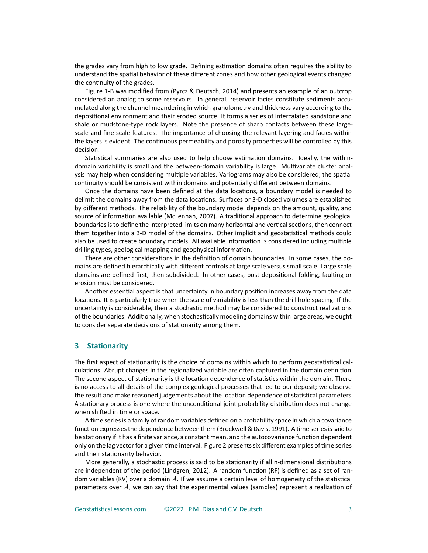the grades vary from high to low grade. Defining estimation domains often requires the ability to understand the spatial behavior of these different zones and how other geological events changed the continuity of the grades.

Figure 1‐B was modified from (Pyrcz & Deutsch, 2014) and presents an example of an outcrop considered an analog to some reservoirs. In general, reservoir facies constitute sediments accumulated along the channel meandering in which granulometry and thickness vary according to the depositional environment and their eroded source. It forms a series of intercalated sandstone and shale or mudstone-type rock layers. Note the presence of sharp contacts between these largescale and fine‐scale features. The importance of choosing the relevant layering and facies within the layers is evident. The continuous permeability and porosity properties will be controlled by this decision.

Statistical summaries are also used to help choose estimation domains. Ideally, the within‐ domain variability is small and the between-domain variability is large. Multivariate cluster analysis may help when considering multiple variables. Variograms may also be considered; the spatial continuity should be consistent within domains and potentially different between domains.

Once the domains have been defined at the data locations, a boundary model is needed to delimit the domains away from the data locations. Surfaces or 3‐D closed volumes are established by different methods. The reliability of the boundary model depends on the amount, quality, and source of information available (McLennan, 2007). A traditional approach to determine geological boundaries is to define the interpreted limits on many horizontal and vertical sections, then connect them together into a 3‐D model of the domains. Other implicit and geostatistical methods could also be used to create boundary models. All available information is considered including multiple drilling types, geological mapping and geophysical information.

There are other considerations in the definition of domain boundaries. In some cases, the do‐ mains are defined hierarchically with different controls at large scale versus small scale. Large scale domains are defined first, then subdivided. In other cases, post depositional folding, faulting or erosion must be considered.

Another essential aspect is that uncertainty in boundary position increases away from the data locations. It is particularly true when the scale of variability is less than the drill hole spacing. If the uncertainty is considerable, then a stochastic method may be considered to construct realizations of the boundaries. Additionally, when stochastically modeling domains within large areas, we ought to consider separate decisions of stationarity among them.

#### **3 Stationarity**

The first aspect of stationarity is the choice of domains within which to perform geostatistical cal‐ culations. Abrupt changes in the regionalized variable are often captured in the domain definition. The second aspect of stationarity is the location dependence of statistics within the domain. There is no access to all details of the complex geological processes that led to our deposit; we observe the result and make reasoned judgements about the location dependence of statistical parameters. A stationary process is one where the unconditional joint probability distribution does not change when shifted in time or space.

A time series is a family of random variables defined on a probability space in which a covariance function expresses the dependence between them (Brockwell & Davis, 1991). A time series is said to be stationary if it has a finite variance, a constant mean, and the autocovariance function dependent only on the lag vector for a given time interval. Figure 2 presents six different examples of time series and their stationarity behavior.

More generally, a stochastic process is said to be stationarity if all n-dimensional distributions are independent of the period (Lindgren, 2012). A random function (RF) is defined as a set of ran‐ dom variables (RV) over a domain *A*. If we assume a certain level of homogeneity of the statistical parameters over *A*, we can say that the experimental values (samples) represent a realization of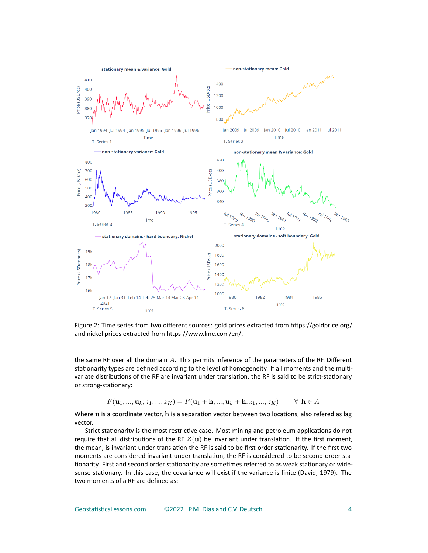

Figure 2: Time series from two different sources: gold prices extracted from https://goldprice.org/ and nickel prices extracted from https://www.lme.com/en/.

the same RF over all the domain *A*. This permits inference of the parameters of the RF. Different stationarity types are defined according to the level of homogeneity. If all moments and the multi‐ variate distributions of the RF are invariant under translation, the RF is said to be strict-stationary or strong‐stationary:

$$
F(\mathbf{u}_1, ..., \mathbf{u}_k; z_1, ..., z_K) = F(\mathbf{u}_1 + \mathbf{h}, ..., \mathbf{u}_k + \mathbf{h}; z_1, ..., z_K) \qquad \forall \mathbf{h} \in A
$$

Where **u** is a coordinate vector, **h** is a separation vector between two locations, also refered as lag vector.

Strict stationarity is the most restrictive case. Most mining and petroleum applications do not require that all distributions of the RF  $Z(\mathbf{u})$  be invariant under translation. If the first moment, the mean, is invariant under translation the RF is said to be first‐order stationarity. If the first two moments are considered invariant under translation, the RF is considered to be second-order stationarity. First and second order stationarity are sometimes referred to as weak stationary or wide‐ sense stationary. In this case, the covariance will exist if the variance is finite (David, 1979). The two moments of a RF are defined as: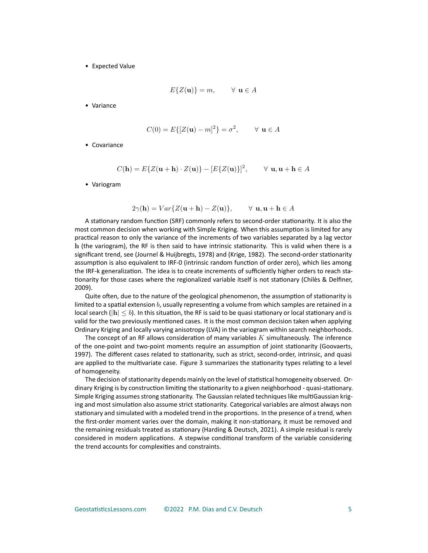• Expected Value

$$
E\{Z(\mathbf{u})\} = m, \qquad \forall \ \mathbf{u} \in A
$$

• Variance

$$
C(0) = E\{ [Z(\mathbf{u}) - m]^2 \} = \sigma^2, \qquad \forall \ \mathbf{u} \in A
$$

• Covariance

$$
C(\mathbf{h}) = E\{Z(\mathbf{u} + \mathbf{h}) \cdot Z(\mathbf{u})\} - [E\{Z(\mathbf{u})\}]^2, \qquad \forall \mathbf{u}, \mathbf{u} + \mathbf{h} \in A
$$

• Variogram

$$
2\gamma(\mathbf{h}) = Var\{Z(\mathbf{u} + \mathbf{h}) - Z(\mathbf{u})\}, \qquad \forall \mathbf{u}, \mathbf{u} + \mathbf{h} \in A
$$

A stationary random function (SRF) commonly refers to second‐order stationarity. It is also the most common decision when working with Simple Kriging. When this assumption is limited for any practical reason to only the variance of the increments of two variables separated by a lag vector **h** (the variogram), the RF is then said to have intrinsic stationarity. This is valid when there is a significant trend, see (Journel & Huijbregts, 1978) and (Krige, 1982). The second-order stationarity assumption is also equivalent to IRF‐0 (intrinsic random function of order zero), which lies among the IRF-k generalization. The idea is to create increments of sufficiently higher orders to reach stationarity for those cases where the regionalized variable itself is not stationary (Chilès & Delfiner, 2009).

Quite often, due to the nature of the geological phenomenon, the assumption of stationarity is limited to a spatial extension *b*, usually representing a volume from which samples are retained in a local search (*|***h***| ≤ b*). In this situation, the RF is said to be quasi stationary or local stationary and is valid for the two previously mentioned cases. It is the most common decision taken when applying Ordinary Kriging and locally varying anisotropy (LVA) in the variogram within search neighborhoods.

The concept of an RF allows consideration of many variables *K* simultaneously. The inference of the one‐point and two‐point moments require an assumption of joint stationarity (Goovaerts, 1997). The different cases related to stationarity, such as strict, second-order, intrinsic, and quasi are applied to the multivariate case. Figure 3 summarizes the stationarity types relating to a level of homogeneity.

The decision of stationarity depends mainly on the level of statistical homogeneity observed. Or‐ dinary Kriging is by construction limiting the stationarity to a given neighborhood ‐ quasi‐stationary. Simple Kriging assumes strong stationarity. The Gaussian related techniques like multiGaussian krig‐ ing and most simulation also assume strict stationarity. Categorical variables are almost always non stationary and simulated with a modeled trend in the proportions. In the presence of a trend, when the first-order moment varies over the domain, making it non-stationary, it must be removed and the remaining residuals treated as stationary (Harding & Deutsch, 2021). A simple residual is rarely considered in modern applications. A stepwise conditional transform of the variable considering the trend accounts for complexities and constraints.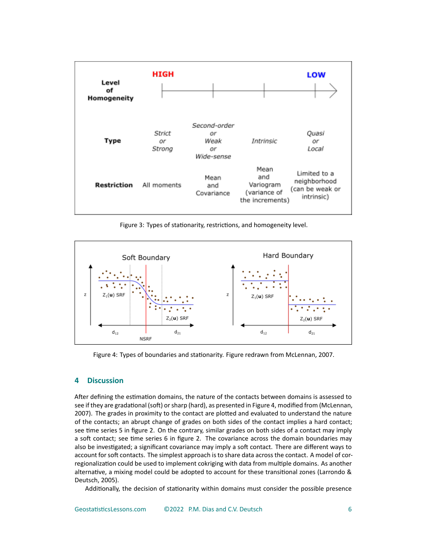

Figure 3: Types of stationarity, restrictions, and homogeneity level.



Figure 4: Types of boundaries and stationarity. Figure redrawn from McLennan, 2007.

## **4 Discussion**

After defining the estimation domains, the nature of the contacts between domains is assessed to see if they are gradational (soft) or sharp (hard), as presented in Figure 4, modified from (McLennan, 2007). The grades in proximity to the contact are plotted and evaluated to understand the nature of the contacts; an abrupt change of grades on both sides of the contact implies a hard contact; see time series 5 in figure 2. On the contrary, similar grades on both sides of a contact may imply a soft contact; see time series 6 in figure 2. The covariance across the domain boundaries may also be investigated; a significant covariance may imply a soft contact. There are different ways to account for soft contacts. The simplest approach is to share data across the contact. A model of corregionalization could be used to implement cokriging with data from multiple domains. As another alternative, a mixing model could be adopted to account for these transitional zones (Larrondo & Deutsch, 2005).

Additionally, the decision of stationarity within domains must consider the possible presence